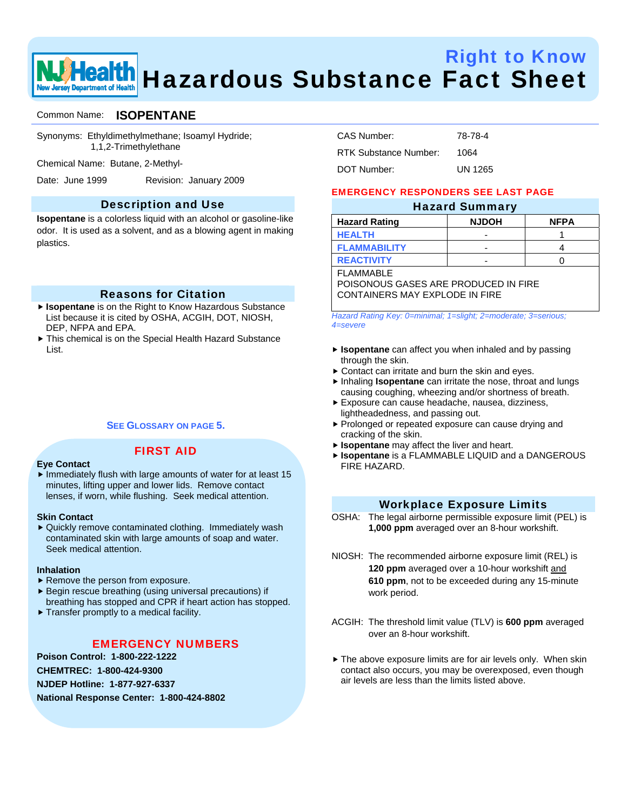

# Right to Know **ealth Hazardous Substance Fact Sheet**

## Common Name: **ISOPENTANE**

Synonyms: Ethyldimethylmethane; Isoamyl Hydride; 1,1,2-Trimethylethane

Chemical Name: Butane, 2-Methyl-

Date: June 1999 Revision: January 2009

## Description and Use

**Isopentane** is a colorless liquid with an alcohol or gasoline-like odor. It is used as a solvent, and as a blowing agent in making plastics.

## Reasons for Citation

- **Fisopentane** is on the Right to Know Hazardous Substance List because it is cited by OSHA, ACGIH, DOT, NIOSH, DEP, NFPA and EPA.
- $\blacktriangleright$  This chemical is on the Special Health Hazard Substance List.

### **SEE GLOSSARY ON PAGE 5.**

# FIRST AID

#### **Eye Contact**

 $\blacktriangleright$  Immediately flush with large amounts of water for at least 15 minutes, lifting upper and lower lids. Remove contact lenses, if worn, while flushing. Seek medical attention.

#### **Skin Contact**

 $\blacktriangleright$  Quickly remove contaminated clothing. Immediately wash contaminated skin with large amounts of soap and water. Seek medical attention.

#### **Inhalation**

- $\blacktriangleright$  Remove the person from exposure.
- $\blacktriangleright$  Begin rescue breathing (using universal precautions) if breathing has stopped and CPR if heart action has stopped.
- $\blacktriangleright$  Transfer promptly to a medical facility.

## EMERGENCY NUMBERS

**Poison Control: 1-800-222-1222 CHEMTREC: 1-800-424-9300** 

**NJDEP Hotline: 1-877-927-6337** 

**National Response Center: 1-800-424-8802** 

| CAS Number:           | 78-78-4 |
|-----------------------|---------|
| RTK Substance Number: | 1064    |
| DOT Number:           | UN 1265 |

#### EMERGENCY RESPONDERS SEE LAST PAGE

# Hazard Summary

| <b>Hazard Rating</b> | <b>NJDOH</b> | <b>NFPA</b> |
|----------------------|--------------|-------------|
| <b>HEALTH</b>        |              |             |
| <b>FLAMMABILITY</b>  | -            |             |
| <b>REACTIVITY</b>    |              |             |

**FI AMMARI F** 

POISONOUS GASES ARE PRODUCED IN FIRE CONTAINERS MAY EXPLODE IN FIRE

*Hazard Rating Key: 0=minimal; 1=slight; 2=moderate; 3=serious; 4=severe*

- **Fisopentane** can affect you when inhaled and by passing through the skin.
- $\triangleright$  Contact can irritate and burn the skin and eyes.
- **h** Inhaling **Isopentane** can irritate the nose, throat and lungs causing coughing, wheezing and/or shortness of breath.
- Exposure can cause headache, nausea, dizziness, lightheadedness, and passing out.
- $\blacktriangleright$  Prolonged or repeated exposure can cause drying and cracking of the skin.
- **Isopentane** may affect the liver and heart.
- **Fisopentane** is a FLAMMABLE LIQUID and a DANGEROUS FIRE HAZARD.

# Workplace Exposure Limits

- OSHA: The legal airborne permissible exposure limit (PEL) is **1,000 ppm** averaged over an 8-hour workshift.
- NIOSH: The recommended airborne exposure limit (REL) is **120 ppm** averaged over a 10-hour workshift and **610 ppm**, not to be exceeded during any 15-minute work period.
- ACGIH: The threshold limit value (TLV) is **600 ppm** averaged over an 8-hour workshift.
- $\triangleright$  The above exposure limits are for air levels only. When skin contact also occurs, you may be overexposed, even though air levels are less than the limits listed above.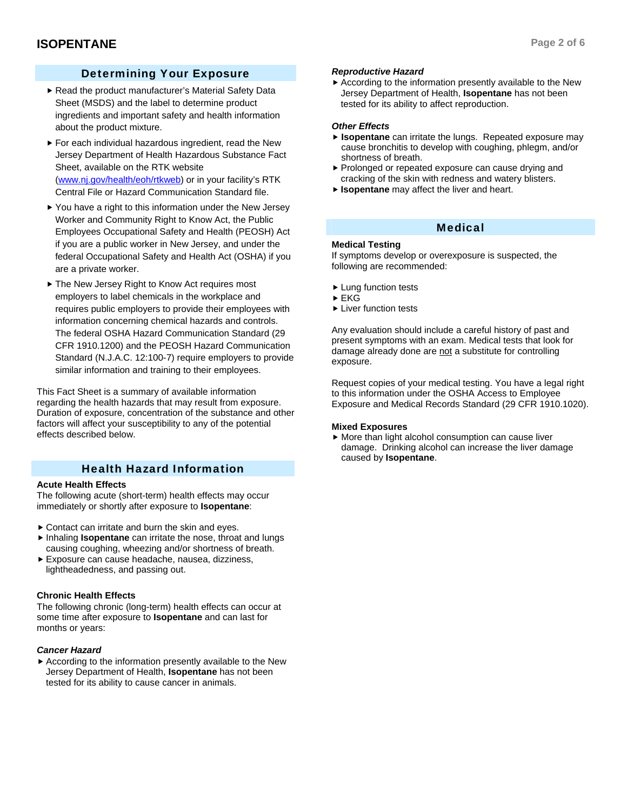# Determining Your Exposure

- Read the product manufacturer's Material Safety Data Sheet (MSDS) and the label to determine product ingredients and important safety and health information about the product mixture.
- $\blacktriangleright$  For each individual hazardous ingredient, read the New Jersey Department of Health Hazardous Substance Fact Sheet, available on the RTK website (www.nj.gov/health/eoh/rtkweb) or in your facility's RTK Central File or Hazard Communication Standard file.
- $\blacktriangleright$  You have a right to this information under the New Jersey Worker and Community Right to Know Act, the Public Employees Occupational Safety and Health (PEOSH) Act if you are a public worker in New Jersey, and under the federal Occupational Safety and Health Act (OSHA) if you are a private worker.
- ▶ The New Jersey Right to Know Act requires most employers to label chemicals in the workplace and requires public employers to provide their employees with information concerning chemical hazards and controls. The federal OSHA Hazard Communication Standard (29 CFR 1910.1200) and the PEOSH Hazard Communication Standard (N.J.A.C. 12:100-7) require employers to provide similar information and training to their employees.

This Fact Sheet is a summary of available information regarding the health hazards that may result from exposure. Duration of exposure, concentration of the substance and other factors will affect your susceptibility to any of the potential effects described below.

# Health Hazard Information

#### **Acute Health Effects**

The following acute (short-term) health effects may occur immediately or shortly after exposure to **Isopentane**:

- $\triangleright$  Contact can irritate and burn the skin and eves.
- **F** Inhaling **Isopentane** can irritate the nose, throat and lungs causing coughing, wheezing and/or shortness of breath.
- ▶ Exposure can cause headache, nausea, dizziness, lightheadedness, and passing out.

#### **Chronic Health Effects**

The following chronic (long-term) health effects can occur at some time after exposure to **Isopentane** and can last for months or years:

#### *Cancer Hazard*

 $\blacktriangleright$  According to the information presently available to the New Jersey Department of Health, **Isopentane** has not been tested for its ability to cause cancer in animals.

#### *Reproductive Hazard*

 $\blacktriangleright$  According to the information presently available to the New Jersey Department of Health, **Isopentane** has not been tested for its ability to affect reproduction.

#### *Other Effects*

- **Example 1 Sopentane** can irritate the lungs. Repeated exposure may cause bronchitis to develop with coughing, phlegm, and/or shortness of breath.
- **Prolonged or repeated exposure can cause drying and** cracking of the skin with redness and watery blisters.
- **F** Isopentane may affect the liver and heart.

## Medical

#### **Medical Testing**

If symptoms develop or overexposure is suspected, the following are recommended:

- ► Lung function tests
- $\blacktriangleright$  EKG
- $\blacktriangleright$  Liver function tests

Any evaluation should include a careful history of past and present symptoms with an exam. Medical tests that look for damage already done are not a substitute for controlling exposure.

Request copies of your medical testing. You have a legal right to this information under the OSHA Access to Employee Exposure and Medical Records Standard (29 CFR 1910.1020).

#### **Mixed Exposures**

 $\blacktriangleright$  More than light alcohol consumption can cause liver damage. Drinking alcohol can increase the liver damage caused by **Isopentane**.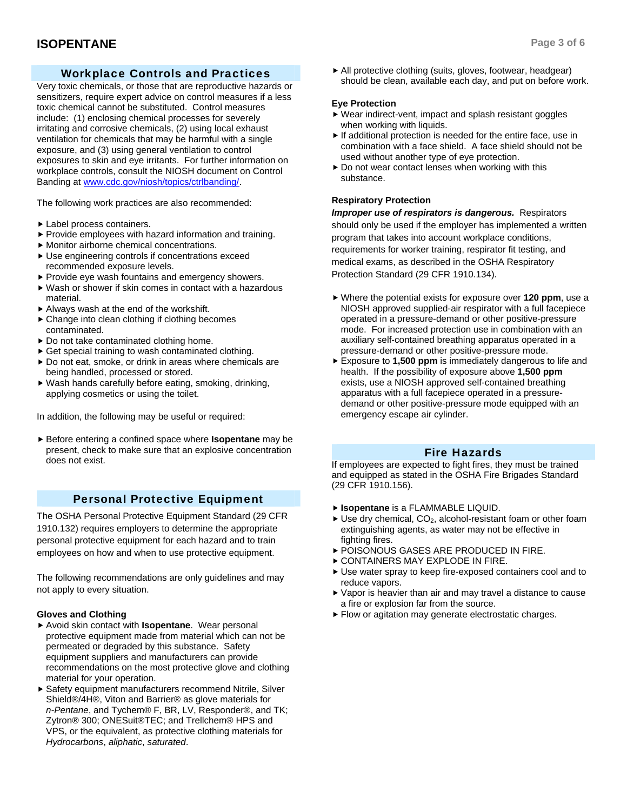# **ISOPENTANE** Page 3 of 6

# Workplace Controls and Practices

Very toxic chemicals, or those that are reproductive hazards or sensitizers, require expert advice on control measures if a less toxic chemical cannot be substituted. Control measures include: (1) enclosing chemical processes for severely irritating and corrosive chemicals, (2) using local exhaust ventilation for chemicals that may be harmful with a single exposure, and (3) using general ventilation to control exposures to skin and eye irritants. For further information on workplace controls, consult the NIOSH document on Control Banding at www.cdc.gov/niosh/topics/ctrlbanding/.

The following work practices are also recommended:

- $\blacktriangleright$  Label process containers.
- $\blacktriangleright$  Provide employees with hazard information and training.
- $\blacktriangleright$  Monitor airborne chemical concentrations.
- $\blacktriangleright$  Use engineering controls if concentrations exceed recommended exposure levels.
- $\blacktriangleright$  Provide eye wash fountains and emergency showers.
- $\blacktriangleright$  Wash or shower if skin comes in contact with a hazardous material.
- $\blacktriangleright$  Always wash at the end of the workshift.
- $\triangleright$  Change into clean clothing if clothing becomes contaminated.
- $\triangleright$  Do not take contaminated clothing home.
- $\triangleright$  Get special training to wash contaminated clothing.
- $\triangleright$  Do not eat, smoke, or drink in areas where chemicals are being handled, processed or stored.
- $\blacktriangleright$  Wash hands carefully before eating, smoking, drinking, applying cosmetics or using the toilet.

In addition, the following may be useful or required:

▶ Before entering a confined space where **Isopentane** may be present, check to make sure that an explosive concentration does not exist.

# Personal Protective Equipment

The OSHA Personal Protective Equipment Standard (29 CFR 1910.132) requires employers to determine the appropriate personal protective equipment for each hazard and to train employees on how and when to use protective equipment.

The following recommendations are only guidelines and may not apply to every situation.

#### **Gloves and Clothing**

- ▶ Avoid skin contact with **Isopentane**. Wear personal protective equipment made from material which can not be permeated or degraded by this substance. Safety equipment suppliers and manufacturers can provide recommendations on the most protective glove and clothing material for your operation.
- $\triangleright$  Safety equipment manufacturers recommend Nitrile, Silver Shield®/4H®, Viton and Barrier® as glove materials for *n-Pentane*, and Tychem® F, BR, LV, Responder®, and TK; Zytron® 300; ONESuit®TEC; and Trellchem® HPS and VPS, or the equivalent, as protective clothing materials for *Hydrocarbons*, *aliphatic*, *saturated*.

 $\blacktriangleright$  All protective clothing (suits, gloves, footwear, headgear) should be clean, available each day, and put on before work.

#### **Eye Protection**

- $\blacktriangleright$  Wear indirect-vent, impact and splash resistant goggles when working with liquids.
- $\blacktriangleright$  If additional protection is needed for the entire face, use in combination with a face shield. A face shield should not be used without another type of eye protection.
- $\triangleright$  Do not wear contact lenses when working with this substance.

#### **Respiratory Protection**

*Improper use of respirators is dangerous.* Respirators should only be used if the employer has implemented a written program that takes into account workplace conditions, requirements for worker training, respirator fit testing, and medical exams, as described in the OSHA Respiratory Protection Standard (29 CFR 1910.134).

- $\triangleright$  Where the potential exists for exposure over **120 ppm**, use a NIOSH approved supplied-air respirator with a full facepiece operated in a pressure-demand or other positive-pressure mode. For increased protection use in combination with an auxiliary self-contained breathing apparatus operated in a pressure-demand or other positive-pressure mode.
- ► Exposure to **1,500 ppm** is immediately dangerous to life and health. If the possibility of exposure above **1,500 ppm** exists, use a NIOSH approved self-contained breathing apparatus with a full facepiece operated in a pressuredemand or other positive-pressure mode equipped with an emergency escape air cylinder.

# Fire Hazards

If employees are expected to fight fires, they must be trained and equipped as stated in the OSHA Fire Brigades Standard (29 CFR 1910.156).

- **Fisopentane** is a FLAMMABLE LIQUID.
- $\blacktriangleright$  Use dry chemical, CO<sub>2</sub>, alcohol-resistant foam or other foam extinguishing agents, as water may not be effective in fighting fires.
- **POISONOUS GASES ARE PRODUCED IN FIRE.**
- **EXPLODE IN FIRE.**
- $\triangleright$  Use water spray to keep fire-exposed containers cool and to reduce vapors.
- $\blacktriangleright$  Vapor is heavier than air and may travel a distance to cause a fire or explosion far from the source.
- Flow or agitation may generate electrostatic charges.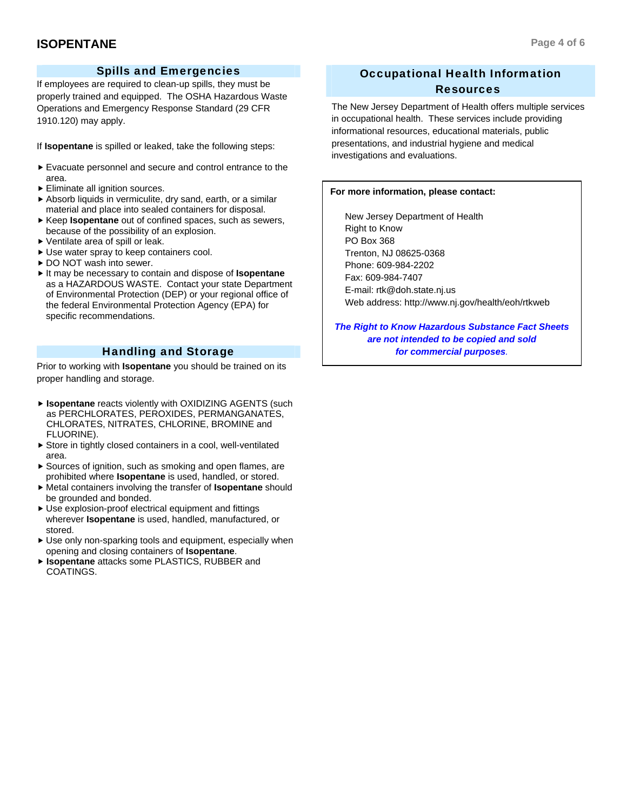## Spills and Emergencies

If employees are required to clean-up spills, they must be properly trained and equipped. The OSHA Hazardous Waste Operations and Emergency Response Standard (29 CFR 1910.120) may apply.

If **Isopentane** is spilled or leaked, take the following steps:

- $\blacktriangleright$  Evacuate personnel and secure and control entrance to the area.
- $\blacktriangleright$  Eliminate all ignition sources.
- $\blacktriangleright$  Absorb liquids in vermiculite, dry sand, earth, or a similar material and place into sealed containers for disposal.
- ▶ Keep **Isopentane** out of confined spaces, such as sewers, because of the possibility of an explosion.
- $\blacktriangleright$  Ventilate area of spill or leak.
- $\blacktriangleright$  Use water spray to keep containers cool.
- ▶ DO NOT wash into sewer.
- $\blacktriangleright$  It may be necessary to contain and dispose of **Isopentane** as a HAZARDOUS WASTE. Contact your state Department of Environmental Protection (DEP) or your regional office of the federal Environmental Protection Agency (EPA) for specific recommendations.

# Handling and Storage

Prior to working with **Isopentane** you should be trained on its proper handling and storage.

- **Example 1 Sopentane** reacts violently with OXIDIZING AGENTS (such as PERCHLORATES, PEROXIDES, PERMANGANATES, CHLORATES, NITRATES, CHLORINE, BROMINE and FLUORINE).
- $\triangleright$  Store in tightly closed containers in a cool, well-ventilated area.
- $\blacktriangleright$  Sources of ignition, such as smoking and open flames, are prohibited where **Isopentane** is used, handled, or stored.
- $\triangleright$  Metal containers involving the transfer of **Isopentane** should be grounded and bonded.
- $\blacktriangleright$  Use explosion-proof electrical equipment and fittings wherever **Isopentane** is used, handled, manufactured, or stored.
- $\blacktriangleright$  Use only non-sparking tools and equipment, especially when opening and closing containers of **Isopentane**.
- f **Isopentane** attacks some PLASTICS, RUBBER and COATINGS.

# Occupational Health Information Resources

The New Jersey Department of Health offers multiple services in occupational health. These services include providing informational resources, educational materials, public presentations, and industrial hygiene and medical investigations and evaluations.

#### **For more information, please contact:**

 New Jersey Department of Health Right to Know PO Box 368 Trenton, NJ 08625-0368 Phone: 609-984-2202 Fax: 609-984-7407 E-mail: rtk@doh.state.nj.us Web address: http://www.nj.gov/health/eoh/rtkweb

*The Right to Know Hazardous Substance Fact Sheets are not intended to be copied and sold for commercial purposes.*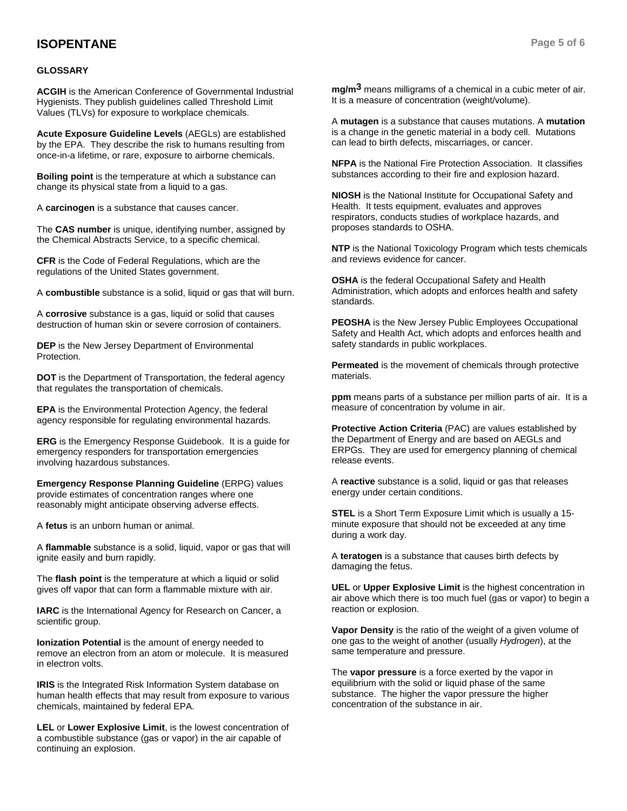# **ISOPENTANE** Page 5 of 6

#### **GLOSSARY**

**ACGIH** is the American Conference of Governmental Industrial Hygienists. They publish guidelines called Threshold Limit Values (TLVs) for exposure to workplace chemicals.

**Acute Exposure Guideline Levels** (AEGLs) are established by the EPA. They describe the risk to humans resulting from once-in-a lifetime, or rare, exposure to airborne chemicals.

**Boiling point** is the temperature at which a substance can change its physical state from a liquid to a gas.

A **carcinogen** is a substance that causes cancer.

The **CAS number** is unique, identifying number, assigned by the Chemical Abstracts Service, to a specific chemical.

**CFR** is the Code of Federal Regulations, which are the regulations of the United States government.

A **combustible** substance is a solid, liquid or gas that will burn.

A **corrosive** substance is a gas, liquid or solid that causes destruction of human skin or severe corrosion of containers.

**DEP** is the New Jersey Department of Environmental Protection.

**DOT** is the Department of Transportation, the federal agency that regulates the transportation of chemicals.

**EPA** is the Environmental Protection Agency, the federal agency responsible for regulating environmental hazards.

**ERG** is the Emergency Response Guidebook. It is a guide for emergency responders for transportation emergencies involving hazardous substances.

**Emergency Response Planning Guideline** (ERPG) values provide estimates of concentration ranges where one reasonably might anticipate observing adverse effects.

A **fetus** is an unborn human or animal.

A **flammable** substance is a solid, liquid, vapor or gas that will ignite easily and burn rapidly.

The **flash point** is the temperature at which a liquid or solid gives off vapor that can form a flammable mixture with air.

**IARC** is the International Agency for Research on Cancer, a scientific group.

**Ionization Potential** is the amount of energy needed to remove an electron from an atom or molecule. It is measured in electron volts.

**IRIS** is the Integrated Risk Information System database on human health effects that may result from exposure to various chemicals, maintained by federal EPA.

**LEL** or **Lower Explosive Limit**, is the lowest concentration of a combustible substance (gas or vapor) in the air capable of continuing an explosion.

**mg/m3** means milligrams of a chemical in a cubic meter of air. It is a measure of concentration (weight/volume).

A **mutagen** is a substance that causes mutations. A **mutation** is a change in the genetic material in a body cell. Mutations can lead to birth defects, miscarriages, or cancer.

**NFPA** is the National Fire Protection Association. It classifies substances according to their fire and explosion hazard.

**NIOSH** is the National Institute for Occupational Safety and Health. It tests equipment, evaluates and approves respirators, conducts studies of workplace hazards, and proposes standards to OSHA.

**NTP** is the National Toxicology Program which tests chemicals and reviews evidence for cancer.

**OSHA** is the federal Occupational Safety and Health Administration, which adopts and enforces health and safety standards.

**PEOSHA** is the New Jersey Public Employees Occupational Safety and Health Act, which adopts and enforces health and safety standards in public workplaces.

**Permeated** is the movement of chemicals through protective materials.

**ppm** means parts of a substance per million parts of air. It is a measure of concentration by volume in air.

**Protective Action Criteria** (PAC) are values established by the Department of Energy and are based on AEGLs and ERPGs. They are used for emergency planning of chemical release events.

A **reactive** substance is a solid, liquid or gas that releases energy under certain conditions.

**STEL** is a Short Term Exposure Limit which is usually a 15 minute exposure that should not be exceeded at any time during a work day.

A **teratogen** is a substance that causes birth defects by damaging the fetus.

**UEL** or **Upper Explosive Limit** is the highest concentration in air above which there is too much fuel (gas or vapor) to begin a reaction or explosion.

**Vapor Density** is the ratio of the weight of a given volume of one gas to the weight of another (usually *Hydrogen*), at the same temperature and pressure.

The **vapor pressure** is a force exerted by the vapor in equilibrium with the solid or liquid phase of the same substance. The higher the vapor pressure the higher concentration of the substance in air.